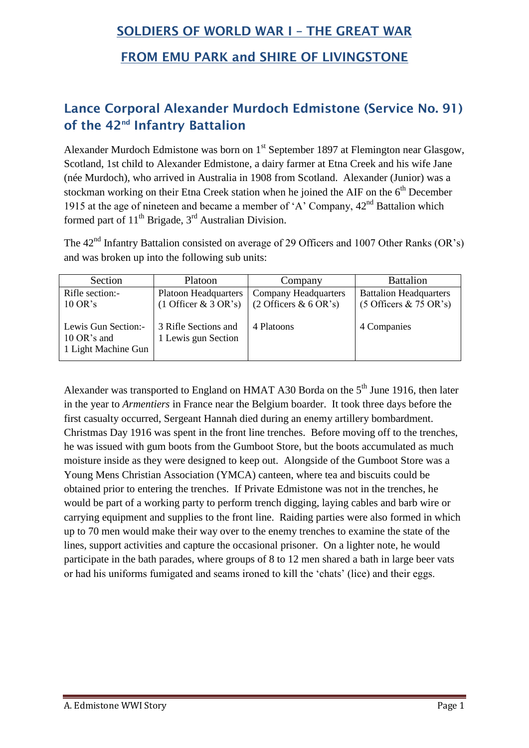## **SOLDIERS OF WORLD WAR I – THE GREAT WAR**

## **FROM EMU PARK and SHIRE OF LIVINGSTONE**

## **Lance Corporal Alexander Murdoch Edmistone (Service No. 91) of the 42nd Infantry Battalion**

Alexander Murdoch Edmistone was born on 1<sup>st</sup> September 1897 at Flemington near Glasgow, Scotland, 1st child to Alexander Edmistone, a dairy farmer at Etna Creek and his wife Jane (née Murdoch), who arrived in Australia in 1908 from Scotland. Alexander (Junior) was a stockman working on their Etna Creek station when he joined the AIF on the  $6<sup>th</sup>$  December 1915 at the age of nineteen and became a member of 'A' Company,  $42<sup>nd</sup>$  Battalion which formed part of  $11<sup>th</sup>$  Brigade,  $3<sup>rd</sup>$  Australian Division.

The 42<sup>nd</sup> Infantry Battalion consisted on average of 29 Officers and 1007 Other Ranks (OR's) and was broken up into the following sub units:

| Section                            | Platoon                                     | Company                                    | <b>Battalion</b>              |
|------------------------------------|---------------------------------------------|--------------------------------------------|-------------------------------|
| Rifle section:-                    | <b>Platoon Headquarters</b>                 | <b>Company Headquarters</b>                | <b>Battalion Headquarters</b> |
| $10 \text{ OR's}$                  | $(1 \text{ Officer } & 3 \text{ OR } s)$    | $(2 \text{ Officers } \& 6 \text{ OR } s)$ | $(5$ Officers & 75 OR's)      |
|                                    |                                             |                                            |                               |
| Lewis Gun Section:-<br>10 OR's and | 3 Rifle Sections and<br>1 Lewis gun Section | 4 Platoons                                 | 4 Companies                   |
| 1 Light Machine Gun                |                                             |                                            |                               |
|                                    |                                             |                                            |                               |

Alexander was transported to England on HMAT A30 Borda on the  $5<sup>th</sup>$  June 1916, then later in the year to *Armentiers* in France near the Belgium boarder. It took three days before the first casualty occurred, Sergeant Hannah died during an enemy artillery bombardment. Christmas Day 1916 was spent in the front line trenches. Before moving off to the trenches, he was issued with gum boots from the Gumboot Store, but the boots accumulated as much moisture inside as they were designed to keep out. Alongside of the Gumboot Store was a Young Mens Christian Association (YMCA) canteen, where tea and biscuits could be obtained prior to entering the trenches. If Private Edmistone was not in the trenches, he would be part of a working party to perform trench digging, laying cables and barb wire or carrying equipment and supplies to the front line. Raiding parties were also formed in which up to 70 men would make their way over to the enemy trenches to examine the state of the lines, support activities and capture the occasional prisoner. On a lighter note, he would participate in the bath parades, where groups of 8 to 12 men shared a bath in large beer vats or had his uniforms fumigated and seams ironed to kill the 'chats' (lice) and their eggs.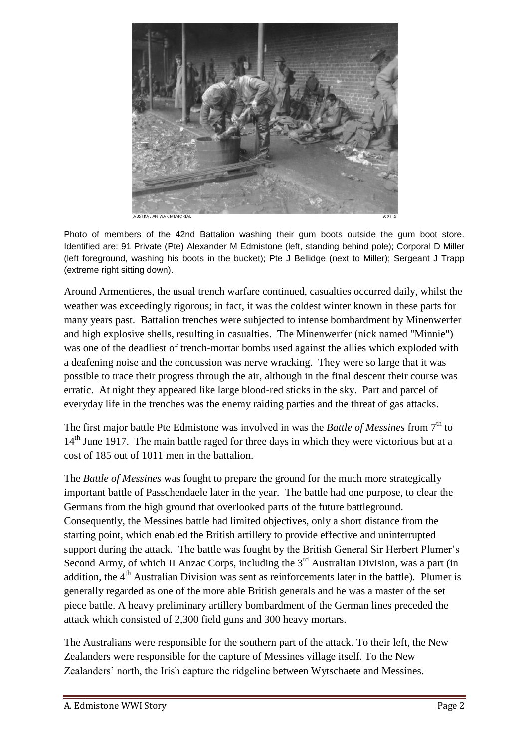

Photo of members of the 42nd Battalion washing their gum boots outside the gum boot store. Identified are: 91 Private (Pte) Alexander M Edmistone (left, standing behind pole); Corporal D Miller (left foreground, washing his boots in the bucket); Pte J Bellidge (next to Miller); Sergeant J Trapp (extreme right sitting down).

Around Armentieres, the usual trench warfare continued, casualties occurred daily, whilst the weather was exceedingly rigorous; in fact, it was the coldest winter known in these parts for many years past. Battalion trenches were subjected to intense bombardment by Minenwerfer and high explosive shells, resulting in casualties. The Minenwerfer (nick named "Minnie") was one of the deadliest of trench-mortar bombs used against the allies which exploded with a deafening noise and the concussion was nerve wracking. They were so large that it was possible to trace their progress through the air, although in the final descent their course was erratic. At night they appeared like large blood-red sticks in the sky. Part and parcel of everyday life in the trenches was the enemy raiding parties and the threat of gas attacks.

The first major battle Pte Edmistone was involved in was the *Battle of Messines* from 7<sup>th</sup> to 14<sup>th</sup> June 1917. The main battle raged for three days in which they were victorious but at a cost of 185 out of 1011 men in the battalion.

The *Battle of Messines* was fought to prepare the ground for the much more strategically important battle of Passchendaele later in the year. The battle had one purpose, to clear the Germans from the high ground that overlooked parts of the future battleground. Consequently, the Messines battle had limited objectives, only a short distance from the starting point, which enabled the British artillery to provide effective and uninterrupted support during the attack. The battle was fought by the British General Sir Herbert Plumer's Second Army, of which II Anzac Corps, including the  $3<sup>rd</sup>$  Australian Division, was a part (in addition, the  $4<sup>th</sup>$  Australian Division was sent as reinforcements later in the battle). Plumer is generally regarded as one of the more able British generals and he was a master of the set piece battle. A heavy [preliminary artillery bombardment](http://www.firstworldwar.com/atoz/preliminarybombardment.htm) of the German lines preceded the attack which consisted of 2,300 field guns and 300 heavy [mortars.](http://www.firstworldwar.com/weaponry/mortars.htm)

The Australians were responsible for the southern part of the attack. To their left, the New Zealanders were responsible for the capture of Messines village itself. To the New Zealanders' north, the Irish capture the ridgeline between Wytschaete and Messines.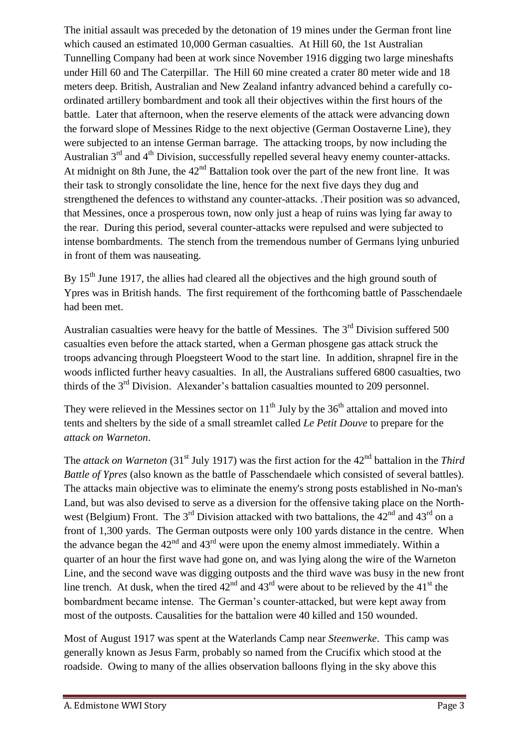The initial assault was preceded by the detonation of 19 mines under the German front line which caused an estimated 10,000 German casualties. At Hill 60, the 1st Australian Tunnelling Company had been at work since November 1916 digging two large mineshafts under Hill 60 and The Caterpillar. The Hill 60 mine created a crater 80 meter wide and 18 meters deep. British, Australian and New Zealand infantry advanced behind a carefully coordinated artillery bombardment and took all their objectives within the first hours of the battle. Later that afternoon, when the reserve elements of the attack were advancing down the forward slope of Messines Ridge to the next objective (German Oostaverne Line), they were subjected to an intense German barrage. The attacking troops, by now including the Australian  $3<sup>rd</sup>$  and  $4<sup>th</sup>$  Division, successfully repelled several heavy enemy counter-attacks. At midnight on 8th June, the  $42<sup>nd</sup>$  Battalion took over the part of the new front line. It was their task to strongly consolidate the line, hence for the next five days they dug and strengthened the defences to withstand any counter-attacks. .Their position was so advanced, that Messines, once a prosperous town, now only just a heap of ruins was lying far away to the rear. During this period, several counter-attacks were repulsed and were subjected to intense bombardments. The stench from the tremendous number of Germans lying unburied in front of them was nauseating.

By 15<sup>th</sup> June 1917, the allies had cleared all the objectives and the high ground south of Ypres was in British hands. The first requirement of the forthcoming battle of Passchendaele had been met.

Australian casualties were heavy for the battle of Messines. The  $3<sup>rd</sup>$  Division suffered 500 casualties even before the attack started, when a German phosgene gas attack struck the troops advancing through Ploegsteert Wood to the start line. In addition, shrapnel fire in the woods inflicted further heavy casualties. In all, the Australians suffered 6800 casualties, two thirds of the  $3<sup>rd</sup>$  Division. Alexander's battalion casualties mounted to 209 personnel.

They were relieved in the Messines sector on  $11<sup>th</sup>$  July by the 36<sup>th</sup> attalion and moved into tents and shelters by the side of a small streamlet called *Le Petit Douve* to prepare for the *attack on Warneton*.

The *attack on Warneton* (31<sup>st</sup> July 1917) was the first action for the 42<sup>nd</sup> battalion in the *Third Battle of Ypres* (also known as the battle of Passchendaele which consisted of several battles). The attacks main objective was to eliminate the enemy's strong posts established in No-man's Land, but was also devised to serve as a diversion for the offensive taking place on the Northwest (Belgium) Front. The 3<sup>rd</sup> Division attacked with two battalions, the  $42<sup>nd</sup>$  and  $43<sup>rd</sup>$  on a front of 1,300 yards. The German outposts were only 100 yards distance in the centre. When the advance began the  $42<sup>nd</sup>$  and  $43<sup>rd</sup>$  were upon the enemy almost immediately. Within a quarter of an hour the first wave had gone on, and was lying along the wire of the Warneton Line, and the second wave was digging outposts and the third wave was busy in the new front line trench. At dusk, when the tired  $42<sup>nd</sup>$  and  $43<sup>rd</sup>$  were about to be relieved by the  $41<sup>st</sup>$  the bombardment became intense. The German's counter-attacked, but were kept away from most of the outposts. Causalities for the battalion were 40 killed and 150 wounded.

Most of August 1917 was spent at the Waterlands Camp near *Steenwerke*. This camp was generally known as Jesus Farm, probably so named from the Crucifix which stood at the roadside. Owing to many of the allies observation balloons flying in the sky above this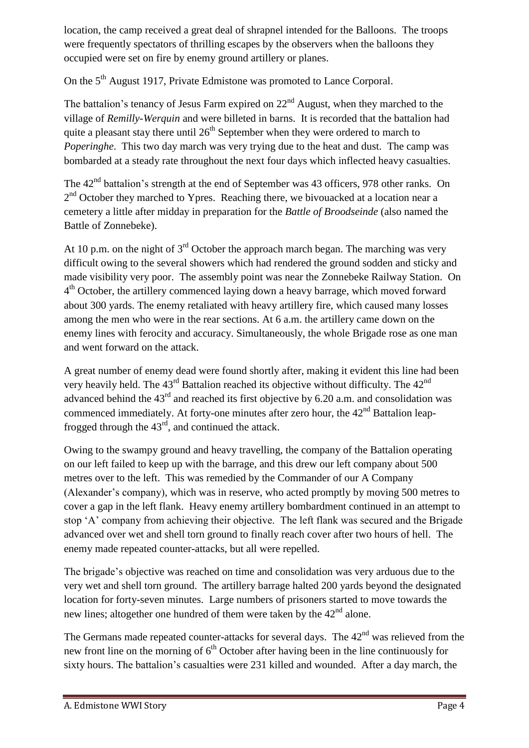location, the camp received a great deal of shrapnel intended for the Balloons. The troops were frequently spectators of thrilling escapes by the observers when the balloons they occupied were set on fire by enemy ground artillery or planes.

On the 5<sup>th</sup> August 1917, Private Edmistone was promoted to Lance Corporal.

The battalion's tenancy of Jesus Farm expired on  $22<sup>nd</sup>$  August, when they marched to the village of *Remilly-Werquin* and were billeted in barns. It is recorded that the battalion had quite a pleasant stay there until  $26<sup>th</sup>$  September when they were ordered to march to *Poperinghe.* This two day march was very trying due to the heat and dust. The camp was bombarded at a steady rate throughout the next four days which inflected heavy casualties.

The 42<sup>nd</sup> battalion's strength at the end of September was 43 officers, 978 other ranks. On  $2<sup>nd</sup>$  October they marched to Ypres. Reaching there, we bivouacked at a location near a cemetery a little after midday in preparation for the *Battle of Broodseinde* (also named the Battle of Zonnebeke).

At 10 p.m. on the night of  $3<sup>rd</sup>$  October the approach march began. The marching was very difficult owing to the several showers which had rendered the ground sodden and sticky and made visibility very poor. The assembly point was near the Zonnebeke Railway Station. On 4<sup>th</sup> October, the artillery commenced laying down a heavy barrage, which moved forward about 300 yards. The enemy retaliated with heavy artillery fire, which caused many losses among the men who were in the rear sections. At 6 a.m. the artillery came down on the enemy lines with ferocity and accuracy. Simultaneously, the whole Brigade rose as one man and went forward on the attack.

A great number of enemy dead were found shortly after, making it evident this line had been very heavily held. The  $43<sup>rd</sup>$  Battalion reached its objective without difficulty. The  $42<sup>nd</sup>$ advanced behind the  $43<sup>rd</sup>$  and reached its first objective by 6.20 a.m. and consolidation was commenced immediately. At forty-one minutes after zero hour, the  $42<sup>nd</sup>$  Battalion leapfrogged through the  $43<sup>rd</sup>$ , and continued the attack.

Owing to the swampy ground and heavy travelling, the company of the Battalion operating on our left failed to keep up with the barrage, and this drew our left company about 500 metres over to the left. This was remedied by the Commander of our A Company (Alexander's company), which was in reserve, who acted promptly by moving 500 metres to cover a gap in the left flank. Heavy enemy artillery bombardment continued in an attempt to stop 'A' company from achieving their objective. The left flank was secured and the Brigade advanced over wet and shell torn ground to finally reach cover after two hours of hell. The enemy made repeated counter-attacks, but all were repelled.

The brigade's objective was reached on time and consolidation was very arduous due to the very wet and shell torn ground. The artillery barrage halted 200 yards beyond the designated location for forty-seven minutes. Large numbers of prisoners started to move towards the new lines; altogether one hundred of them were taken by the  $42<sup>nd</sup>$  alone.

The Germans made repeated counter-attacks for several days. The  $42<sup>nd</sup>$  was relieved from the new front line on the morning of  $6<sup>th</sup>$  October after having been in the line continuously for sixty hours. The battalion's casualties were 231 killed and wounded. After a day march, the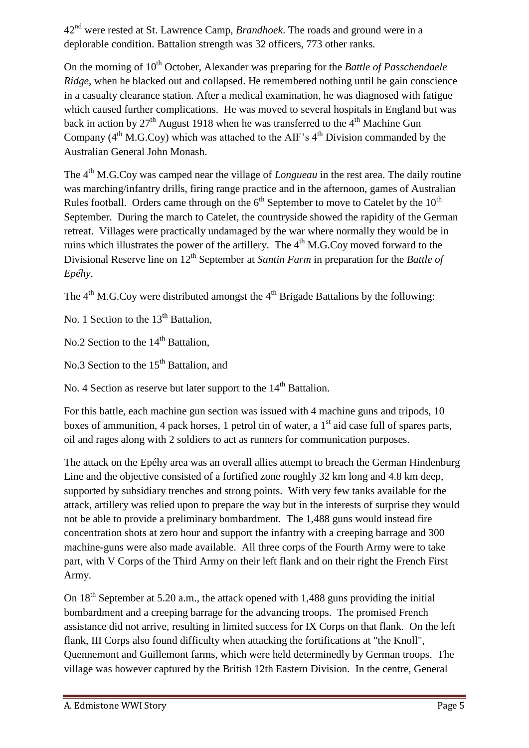42nd were rested at St. Lawrence Camp, *Brandhoek*. The roads and ground were in a deplorable condition. Battalion strength was 32 officers, 773 other ranks.

On the morning of 10<sup>th</sup> October, Alexander was preparing for the *Battle of Passchendaele Ridge*, when he blacked out and collapsed. He remembered nothing until he gain conscience in a casualty clearance station. After a medical examination, he was diagnosed with fatigue which caused further complications. He was moved to several hospitals in England but was back in action by  $27<sup>th</sup>$  August 1918 when he was transferred to the 4<sup>th</sup> Machine Gun Company  $(4<sup>th</sup> M.G.Cov)$  which was attached to the AIF's  $4<sup>th</sup>$  Division commanded by the Australian General John Monash.

The 4<sup>th</sup> M.G.Coy was camped near the village of *Longueau* in the rest area. The daily routine was marching/infantry drills, firing range practice and in the afternoon, games of Australian Rules football. Orders came through on the  $6<sup>th</sup>$  September to move to Catelet by the  $10<sup>th</sup>$ September. During the march to Catelet, the countryside showed the rapidity of the German retreat. Villages were practically undamaged by the war where normally they would be in ruins which illustrates the power of the artillery. The  $4<sup>th</sup>$  M.G.Coy moved forward to the Divisional Reserve line on 12<sup>th</sup> September at *Santin Farm* in preparation for the *Battle of Epéhy*.

The  $4<sup>th</sup>$  M.G.Coy were distributed amongst the  $4<sup>th</sup>$  Brigade Battalions by the following:

No. 1 Section to the 13<sup>th</sup> Battalion.

No.2 Section to the  $14<sup>th</sup>$  Battalion,

No.3 Section to the 15<sup>th</sup> Battalion, and

No. 4 Section as reserve but later support to the  $14<sup>th</sup>$  Battalion.

For this battle, each machine gun section was issued with 4 machine guns and tripods, 10 boxes of ammunition, 4 pack horses, 1 petrol tin of water, a  $1<sup>st</sup>$  aid case full of spares parts, oil and rages along with 2 soldiers to act as runners for communication purposes.

The attack on the Epéhy area was an overall allies attempt to breach the German Hindenburg Line and the objective consisted of a fortified zone roughly 32 km long and 4.8 km deep, supported by subsidiary trenches and strong points. With very few tanks available for the attack, artillery was relied upon to prepare the way but in the interests of surprise they would not be able to provide a preliminary bombardment. The 1,488 guns would instead fire concentration shots at zero hour and support the infantry with a creeping barrage and 300 machine-guns were also made available. All three corps of the Fourth Army were to take part, with V Corps of the Third Army on their left flank and on their right the French First Army.

On  $18<sup>th</sup>$  September at 5.20 a.m., the attack opened with 1,488 guns providing the initial bombardment and a creeping barrage for the advancing troops. The promised French assistance did not arrive, resulting in limited success for IX Corps on that flank. On the left flank, III Corps also found difficulty when attacking the fortifications at "the Knoll", Quennemont and Guillemont farms, which were held determinedly by German troops. The village was however captured by the British 12th Eastern Division. In the centre, General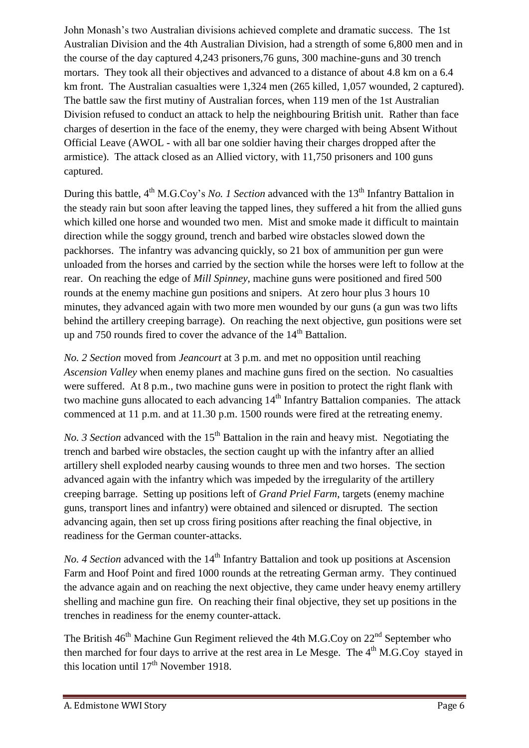John Monash's two Australian divisions achieved complete and dramatic success. The 1st Australian Division and the 4th Australian Division, had a strength of some 6,800 men and in the course of the day captured 4,243 prisoners,76 guns, 300 machine-guns and 30 trench mortars. They took all their objectives and advanced to a distance of about 4.8 km on a 6.4 km front. The Australian casualties were 1,324 men (265 killed, 1,057 wounded, 2 captured). The battle saw the first mutiny of Australian forces, when 119 men of the 1st Australian Division refused to conduct an attack to help the neighbouring British unit. Rather than face charges of desertion in the face of the enemy, they were charged with being Absent Without Official Leave (AWOL - with all bar one soldier having their charges dropped after the armistice). The attack closed as an Allied victory, with 11,750 prisoners and 100 guns captured.

During this battle, 4<sup>th</sup> M.G.Coy's *No. 1 Section* advanced with the 13<sup>th</sup> Infantry Battalion in the steady rain but soon after leaving the tapped lines, they suffered a hit from the allied guns which killed one horse and wounded two men. Mist and smoke made it difficult to maintain direction while the soggy ground, trench and barbed wire obstacles slowed down the packhorses. The infantry was advancing quickly, so 21 box of ammunition per gun were unloaded from the horses and carried by the section while the horses were left to follow at the rear. On reaching the edge of *Mill Spinney*, machine guns were positioned and fired 500 rounds at the enemy machine gun positions and snipers. At zero hour plus 3 hours 10 minutes, they advanced again with two more men wounded by our guns (a gun was two lifts behind the artillery creeping barrage). On reaching the next objective, gun positions were set up and 750 rounds fired to cover the advance of the  $14<sup>th</sup>$  Battalion.

*No. 2 Section* moved from *Jeancourt* at 3 p.m. and met no opposition until reaching *Ascension Valley* when enemy planes and machine guns fired on the section. No casualties were suffered. At 8 p.m., two machine guns were in position to protect the right flank with two machine guns allocated to each advancing 14<sup>th</sup> Infantry Battalion companies. The attack commenced at 11 p.m. and at 11.30 p.m. 1500 rounds were fired at the retreating enemy.

*No. 3 Section* advanced with the 15<sup>th</sup> Battalion in the rain and heavy mist. Negotiating the trench and barbed wire obstacles, the section caught up with the infantry after an allied artillery shell exploded nearby causing wounds to three men and two horses. The section advanced again with the infantry which was impeded by the irregularity of the artillery creeping barrage. Setting up positions left of *Grand Priel Farm*, targets (enemy machine guns, transport lines and infantry) were obtained and silenced or disrupted. The section advancing again, then set up cross firing positions after reaching the final objective, in readiness for the German counter-attacks.

*No. 4 Section* advanced with the 14<sup>th</sup> Infantry Battalion and took up positions at Ascension Farm and Hoof Point and fired 1000 rounds at the retreating German army. They continued the advance again and on reaching the next objective, they came under heavy enemy artillery shelling and machine gun fire. On reaching their final objective, they set up positions in the trenches in readiness for the enemy counter-attack.

The British  $46<sup>th</sup>$  Machine Gun Regiment relieved the 4th M.G.Coy on  $22<sup>nd</sup>$  September who then marched for four days to arrive at the rest area in Le Mesge. The  $4<sup>th</sup>$  M.G.Coy stayed in this location until  $17<sup>th</sup>$  November 1918.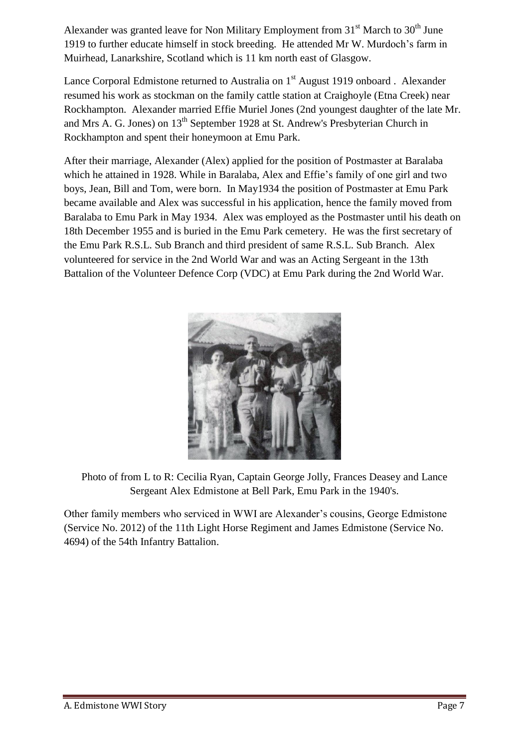Alexander was granted leave for Non Military Employment from  $31<sup>st</sup>$  March to  $30<sup>th</sup>$  June 1919 to further educate himself in stock breeding. He attended Mr W. Murdoch's farm in Muirhead, Lanarkshire, Scotland which is 11 km north east of Glasgow.

Lance Corporal Edmistone returned to Australia on  $1<sup>st</sup>$  August 1919 onboard. Alexander resumed his work as stockman on the family cattle station at Craighoyle (Etna Creek) near Rockhampton. Alexander married Effie Muriel Jones (2nd youngest daughter of the late Mr. and Mrs A. G. Jones) on 13<sup>th</sup> September 1928 at St. Andrew's Presbyterian Church in Rockhampton and spent their honeymoon at Emu Park.

After their marriage, Alexander (Alex) applied for the position of Postmaster at Baralaba which he attained in 1928. While in Baralaba, Alex and Effie's family of one girl and two boys, Jean, Bill and Tom, were born. In May1934 the position of Postmaster at Emu Park became available and Alex was successful in his application, hence the family moved from Baralaba to Emu Park in May 1934. Alex was employed as the Postmaster until his death on 18th December 1955 and is buried in the Emu Park cemetery. He was the first secretary of the Emu Park R.S.L. Sub Branch and third president of same R.S.L. Sub Branch. Alex volunteered for service in the 2nd World War and was an Acting Sergeant in the 13th Battalion of the Volunteer Defence Corp (VDC) at Emu Park during the 2nd World War.



Photo of from L to R: Cecilia Ryan, Captain George Jolly, Frances Deasey and Lance Sergeant Alex Edmistone at Bell Park, Emu Park in the 1940's.

Other family members who serviced in WWI are Alexander's cousins, George Edmistone (Service No. 2012) of the 11th Light Horse Regiment and James Edmistone (Service No. 4694) of the 54th Infantry Battalion.